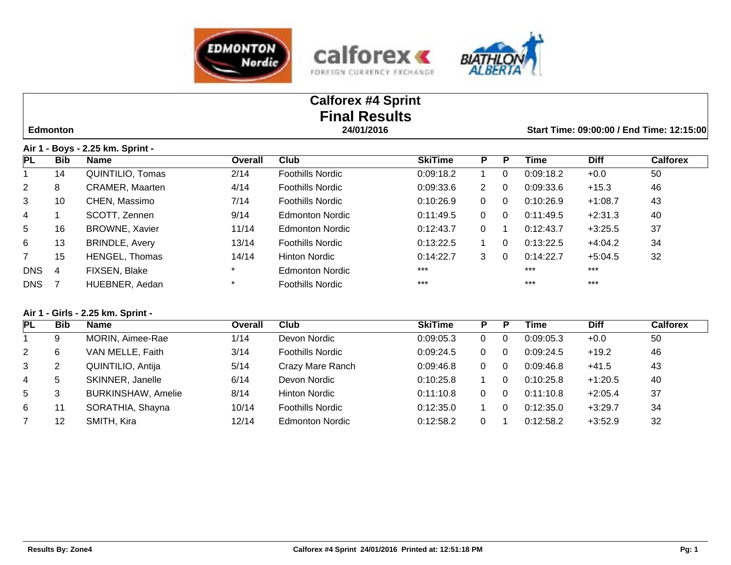





|                |                 |                                  |         | <b>Calforex #4 Sprint</b><br><b>Final Results</b> |                |                      |          |                                           |             |                 |  |
|----------------|-----------------|----------------------------------|---------|---------------------------------------------------|----------------|----------------------|----------|-------------------------------------------|-------------|-----------------|--|
|                | <b>Edmonton</b> |                                  |         | 24/01/2016                                        |                |                      |          | Start Time: 09:00:00 / End Time: 12:15:00 |             |                 |  |
|                |                 | Air 1 - Boys - 2.25 km. Sprint - |         |                                                   |                |                      |          |                                           |             |                 |  |
| PL             | <b>Bib</b>      | <b>Name</b>                      | Overall | Club                                              | <b>SkiTime</b> | P                    | P        | Time                                      | <b>Diff</b> | <b>Calforex</b> |  |
|                | 14              | QUINTILIO, Tomas                 | 2/14    | <b>Foothills Nordic</b>                           | 0:09:18.2      |                      | $\Omega$ | 0:09:18.2                                 | $+0.0$      | 50              |  |
| $\overline{2}$ | 8               | <b>CRAMER, Maarten</b>           | 4/14    | <b>Foothills Nordic</b>                           | 0:09:33.6      | $\mathbf{2}^{\circ}$ | $\Omega$ | 0:09:33.6                                 | $+15.3$     | 46              |  |
| 3              | 10              | CHEN, Massimo                    | 7/14    | Foothills Nordic                                  | 0:10:26.9      | $\Omega$             | $\Omega$ | 0:10:26.9                                 | $+1:08.7$   | 43              |  |
| 4              |                 | SCOTT, Zennen                    | 9/14    | Edmonton Nordic                                   | 0:11:49.5      | $\Omega$             | $\Omega$ | 0:11:49.5                                 | $+2:31.3$   | 40              |  |
| 5              | 16              | <b>BROWNE, Xavier</b>            | 11/14   | Edmonton Nordic                                   | 0:12:43.7      | 0                    |          | 0:12:43.7                                 | $+3:25.5$   | 37              |  |
| 6              | 13              | <b>BRINDLE, Avery</b>            | 13/14   | <b>Foothills Nordic</b>                           | 0:13:22.5      |                      | $\Omega$ | 0:13:22.5                                 | $+4:04.2$   | 34              |  |
| $\overline{7}$ | 15              | HENGEL, Thomas                   | 14/14   | Hinton Nordic                                     | 0:14:22.7      | 3                    | $\Omega$ | 0:14:22.7                                 | $+5:04.5$   | 32              |  |
| <b>DNS</b>     | 4               | FIXSEN, Blake                    |         | <b>Edmonton Nordic</b>                            | $***$          |                      |          | $***$                                     | $***$       |                 |  |
| <b>DNS</b>     |                 | HUEBNER, Aedan                   | $\star$ | <b>Foothills Nordic</b>                           | $***$          |                      |          | $***$                                     | $***$       |                 |  |

## **Air 1 - Girls - 2.25 km. Sprint -**

| PL             | Bib | <b>Name</b>               | Overall | Club                    | <b>SkiTime</b> | P. | Р  | Time      | <b>Diff</b> | <b>Calforex</b> |
|----------------|-----|---------------------------|---------|-------------------------|----------------|----|----|-----------|-------------|-----------------|
|                | 9   | MORIN, Aimee-Rae          | 1/14    | Devon Nordic            | 0:09:05.3      | 0  |    | 0:09:05.3 | $+0.0$      | 50              |
| $\overline{2}$ | 6   | VAN MELLE, Faith          | 3/14    | <b>Foothills Nordic</b> | 0:09:24.5      | 0  | -0 | 0:09:24.5 | $+19.2$     | 46              |
| 3              |     | QUINTILIO, Antija         | 5/14    | Crazy Mare Ranch        | 0:09:46.8      | 0  | -0 | 0:09:46.8 | $+41.5$     | 43              |
| 4              | 5   | SKINNER, Janelle          | 6/14    | Devon Nordic            | 0:10:25.8      |    |    | 0:10:25.8 | $+1:20.5$   | 40              |
| 5              | 3   | <b>BURKINSHAW, Amelie</b> | 8/14    | <b>Hinton Nordic</b>    | 0:11:10.8      | 0  |    | 0:11:10.8 | $+2:05.4$   | 37              |
| 6              |     | SORATHIA, Shayna          | 10/14   | <b>Foothills Nordic</b> | 0:12:35.0      |    |    | 0:12:35.0 | $+3:29.7$   | 34              |
|                | 12  | SMITH, Kira               | 12/14   | Edmonton Nordic         | 0:12:58.2      | 0  |    | 0:12:58.2 | $+3:52.9$   | 32              |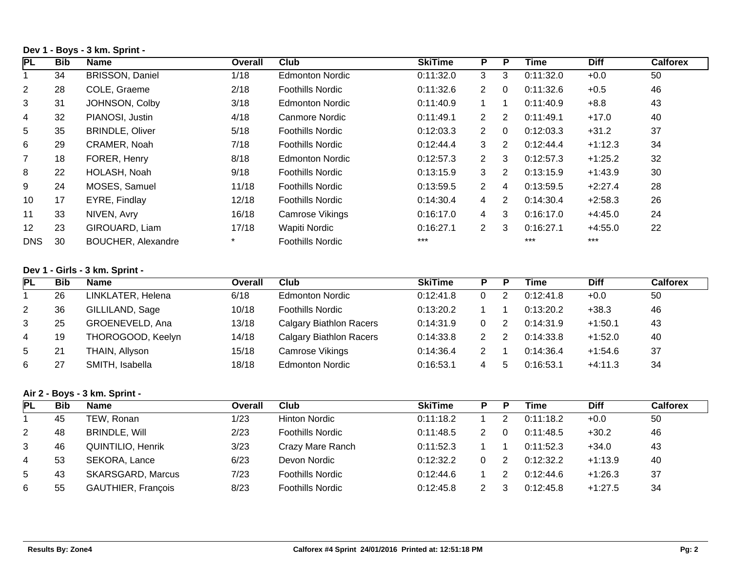## **Dev 1 - Boys - 3 km. Sprint -**

| <b>PL</b>       | <b>Bib</b> | Name                      | Overall | Club                    | <b>SkiTime</b> | P                    | P              | Time      | <b>Diff</b> | <b>Calforex</b> |
|-----------------|------------|---------------------------|---------|-------------------------|----------------|----------------------|----------------|-----------|-------------|-----------------|
|                 | 34         | <b>BRISSON, Daniel</b>    | 1/18    | <b>Edmonton Nordic</b>  | 0:11:32.0      | 3                    | 3              | 0:11:32.0 | $+0.0$      | 50              |
| $\overline{2}$  | 28         | COLE, Graeme              | 2/18    | <b>Foothills Nordic</b> | 0:11:32.6      | $\mathbf{2}$         | $\Omega$       | 0:11:32.6 | $+0.5$      | 46              |
| 3               | 31         | JOHNSON, Colby            | 3/18    | <b>Edmonton Nordic</b>  | 0:11:40.9      |                      | 1              | 0:11:40.9 | $+8.8$      | 43              |
| 4               | 32         | PIANOSI, Justin           | 4/18    | Canmore Nordic          | 0:11:49.1      | $\mathbf{2}^{\circ}$ | 2              | 0:11:49.1 | $+17.0$     | 40              |
| $5\overline{)}$ | 35         | <b>BRINDLE, Oliver</b>    | 5/18    | <b>Foothills Nordic</b> | 0:12:03.3      | $\mathbf{2}$         | $\Omega$       | 0:12:03.3 | $+31.2$     | 37              |
| 6               | 29         | CRAMER, Noah              | 7/18    | <b>Foothills Nordic</b> | 0:12:44.4      | 3                    | 2              | 0:12:44.4 | $+1:12.3$   | 34              |
| $\overline{7}$  | 18         | FORER, Henry              | 8/18    | <b>Edmonton Nordic</b>  | 0:12:57.3      | $\mathbf{2}$         | 3              | 0:12:57.3 | $+1:25.2$   | 32              |
| 8               | 22         | HOLASH, Noah              | 9/18    | <b>Foothills Nordic</b> | 0:13:15.9      | 3                    | 2              | 0:13:15.9 | $+1:43.9$   | 30              |
| 9               | 24         | MOSES, Samuel             | 11/18   | <b>Foothills Nordic</b> | 0:13:59.5      | $\mathbf{2}$         | $\overline{4}$ | 0:13:59.5 | $+2:27.4$   | 28              |
| 10              | 17         | EYRE, Findlay             | 12/18   | <b>Foothills Nordic</b> | 0:14:30.4      | 4                    | 2              | 0:14:30.4 | $+2:58.3$   | 26              |
| 11              | 33         | NIVEN, Avry               | 16/18   | Camrose Vikings         | 0:16:17.0      | 4                    | 3              | 0:16:17.0 | $+4:45.0$   | 24              |
| 12              | 23         | GIROUARD, Liam            | 17/18   | Wapiti Nordic           | 0:16:27.1      | $\overline{2}$       | 3              | 0:16:27.1 | $+4:55.0$   | 22              |
| <b>DNS</b>      | 30         | <b>BOUCHER, Alexandre</b> | $\star$ | <b>Foothills Nordic</b> | $***$          |                      |                | $***$     | $***$       |                 |

#### **Dev 1 - Girls - 3 km. Sprint -**

| <b>PL</b>      | <b>Bib</b> | <b>Name</b>       | Overall | Club                           | <b>SkiTime</b> |   | D | Time      | <b>Diff</b> | Calforex |
|----------------|------------|-------------------|---------|--------------------------------|----------------|---|---|-----------|-------------|----------|
|                | 26         | LINKLATER, Helena | 6/18    | <b>Edmonton Nordic</b>         | 0:12:41.8      | 0 |   | 0:12:41.8 | $+0.0$      | 50       |
| $\overline{2}$ | 36         | GILLILAND, Sage   | 10/18   | <b>Foothills Nordic</b>        | 0:13:20.2      |   |   | 0:13:20.2 | $+38.3$     | 46       |
| 3              | 25         | GROENEVELD, Ana   | 13/18   | <b>Calgary Biathlon Racers</b> | 0:14:31.9      | 0 |   | 0:14:31.9 | $+1:50.1$   | 43       |
| 4              | 19         | THOROGOOD, Keelyn | 14/18   | <b>Calgary Biathlon Racers</b> | 0:14:33.8      | 2 |   | 0:14:33.8 | $+1:52.0$   | 40       |
| 5              | 21         | THAIN, Allyson    | 15/18   | Camrose Vikings                | 0:14:36.4      | າ |   | 0:14:36.4 | $+1:54.6$   | 37       |
| 6              | 27         | SMITH, Isabella   | 18/18   | <b>Edmonton Nordic</b>         | 0:16:53.1      | 4 | h | 0:16:53.1 | $+4:11.3$   | 34       |

## **Air 2 - Boys - 3 km. Sprint -**

| <b>PL</b> | Bib | <b>Name</b>               | Overall | Club                    | <b>SkiTime</b> |   |   | Time      | <b>Diff</b> | Calforex |
|-----------|-----|---------------------------|---------|-------------------------|----------------|---|---|-----------|-------------|----------|
|           | 45  | TEW, Ronan                | 1/23    | Hinton Nordic           | 0:11:18.2      |   | 2 | 0:11:18.2 | $+0.0$      | 50       |
| 2         | 48  | <b>BRINDLE, Will</b>      | 2/23    | <b>Foothills Nordic</b> | 0:11:48.5      |   |   | 0:11:48.5 | $+30.2$     | 46       |
| 3         | 46  | <b>QUINTILIO, Henrik</b>  | 3/23    | Crazy Mare Ranch        | 0:11:52.3      |   |   | 0:11:52.3 | $+34.0$     | 43       |
| 4         | 53  | SEKORA, Lance             | 6/23    | Devon Nordic            | 0:12:32.2      | 0 |   | 0:12:32.2 | $+1:13.9$   | 40       |
| 5         | 43  | <b>SKARSGARD, Marcus</b>  | 7/23    | <b>Foothills Nordic</b> | 0:12:44.6      |   |   | 0:12:44.6 | $+1:26.3$   | 37       |
| 6         | 55  | <b>GAUTHIER, François</b> | 8/23    | <b>Foothills Nordic</b> | 0:12:45.8      |   |   | 0:12:45.8 | $+1:27.5$   | 34       |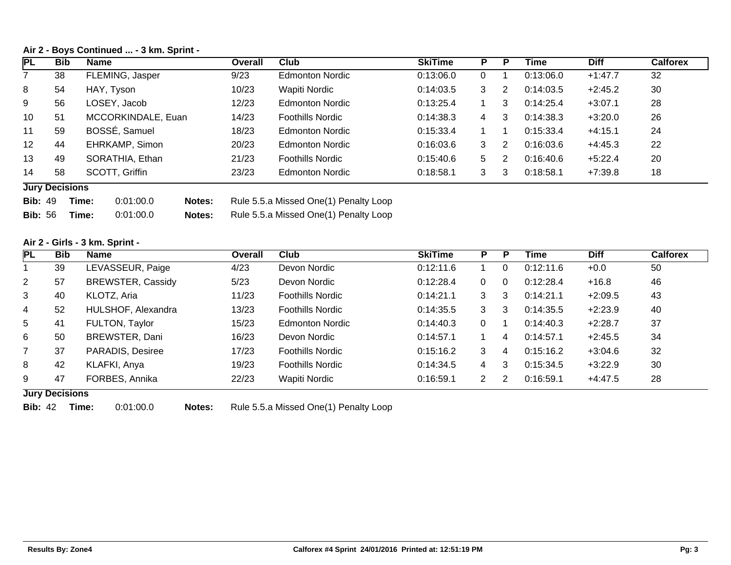#### **Air 2 - Boys Continued ... - 3 km. Sprint -**

| PL              | <b>Bib</b>            | <b>Name</b>        | <b>Overall</b> | Club                    | <b>SkiTime</b> | P  |    | Time      | <b>Diff</b> | <b>Calforex</b> |
|-----------------|-----------------------|--------------------|----------------|-------------------------|----------------|----|----|-----------|-------------|-----------------|
|                 | 38                    | FLEMING, Jasper    | 9/23           | <b>Edmonton Nordic</b>  | 0:13:06.0      | 0  |    | 0:13:06.0 | $+1:47.7$   | 32              |
| 8               | 54                    | HAY, Tyson         | 10/23          | Wapiti Nordic           | 0:14:03.5      | 3  | 2  | 0:14:03.5 | $+2:45.2$   | 30              |
| 9               | 56                    | LOSEY, Jacob       | 12/23          | <b>Edmonton Nordic</b>  | 0:13:25.4      |    | 3  | 0:14:25.4 | $+3:07.1$   | 28              |
| 10              | 51                    | MCCORKINDALE, Euan | 14/23          | <b>Foothills Nordic</b> | 0:14:38.3      | 4  | 3  | 0:14:38.3 | $+3:20.0$   | 26              |
| 11              | 59                    | BOSSÉ, Samuel      | 18/23          | <b>Edmonton Nordic</b>  | 0:15:33.4      |    |    | 0:15:33.4 | $+4:15.1$   | 24              |
| 12 <sup>2</sup> | 44                    | EHRKAMP, Simon     | 20/23          | <b>Edmonton Nordic</b>  | 0:16:03.6      | 3  | -2 | 0:16:03.6 | $+4:45.3$   | 22              |
| 13              | 49                    | SORATHIA, Ethan    | 21/23          | <b>Foothills Nordic</b> | 0:15:40.6      | 5. | 2  | 0:16:40.6 | $+5:22.4$   | 20              |
| 14              | 58                    | SCOTT, Griffin     | 23/23          | <b>Edmonton Nordic</b>  | 0:18:58.1      | 3  | 3  | 0:18:58.1 | $+7:39.8$   | 18              |
|                 | <b>Lury Decisions</b> |                    |                |                         |                |    |    |           |             |                 |

#### **Jury Decisions**

**Bib:** 49 **Time:** 0:01:00.0 **Notes:** Rule 5.5.a Missed One(1) Penalty Loop

**Bib:** 56 **Time:** 0:01:00.0 **Notes:** Rule 5.5.a Missed One(1) Penalty Loop

#### **Air 2 - Girls - 3 km. Sprint -**

| <b>PL</b>       | <b>Bib</b> | <b>Name</b>              | Overall | Club                    | <b>SkiTime</b> | P                    | Þ             | Time      | <b>Diff</b> | <b>Calforex</b> |
|-----------------|------------|--------------------------|---------|-------------------------|----------------|----------------------|---------------|-----------|-------------|-----------------|
|                 | 39         | LEVASSEUR, Paige         | 4/23    | Devon Nordic            | 0:12:11.6      |                      | $\Omega$      | 0:12:11.6 | $+0.0$      | 50              |
| $\overline{2}$  | 57         | <b>BREWSTER, Cassidy</b> | 5/23    | Devon Nordic            | 0:12:28.4      | $\Omega$             | $\Omega$      | 0:12:28.4 | $+16.8$     | 46              |
| $\mathbf{3}$    | 40         | KLOTZ, Aria              | 11/23   | <b>Foothills Nordic</b> | 0:14:21.1      | 3                    | 3             | 0:14:21.1 | $+2:09.5$   | 43              |
| 4               | 52         | HULSHOF, Alexandra       | 13/23   | <b>Foothills Nordic</b> | 0:14:35.5      | 3                    | 3             | 0:14:35.5 | $+2:23.9$   | 40              |
| $5\overline{)}$ | 41         | FULTON, Taylor           | 15/23   | <b>Edmonton Nordic</b>  | 0:14:40.3      | $\Omega$             |               | 0:14:40.3 | $+2:28.7$   | 37              |
| 6               | 50         | BREWSTER, Dani           | 16/23   | Devon Nordic            | 0:14:57.1      |                      | 4             | 0:14:57.1 | $+2:45.5$   | 34              |
| $\overline{7}$  | 37         | PARADIS, Desiree         | 17/23   | <b>Foothills Nordic</b> | 0:15:16.2      | 3                    | 4             | 0:15:16.2 | $+3:04.6$   | 32              |
| 8               | 42         | KLAFKI, Anya             | 19/23   | <b>Foothills Nordic</b> | 0:14:34.5      | 4                    | 3             | 0:15:34.5 | $+3:22.9$   | 30              |
| 9               | 47         | FORBES, Annika           | 22/23   | Wapiti Nordic           | 0:16:59.1      | $\mathbf{2}^{\circ}$ | $\mathcal{P}$ | 0:16:59.1 | $+4:47.5$   | 28              |

# **Jury Decisions**

**Bib:** 42 **Time:** 0:01:00.0 **Notes:** Rule 5.5.a Missed One(1) Penalty Loop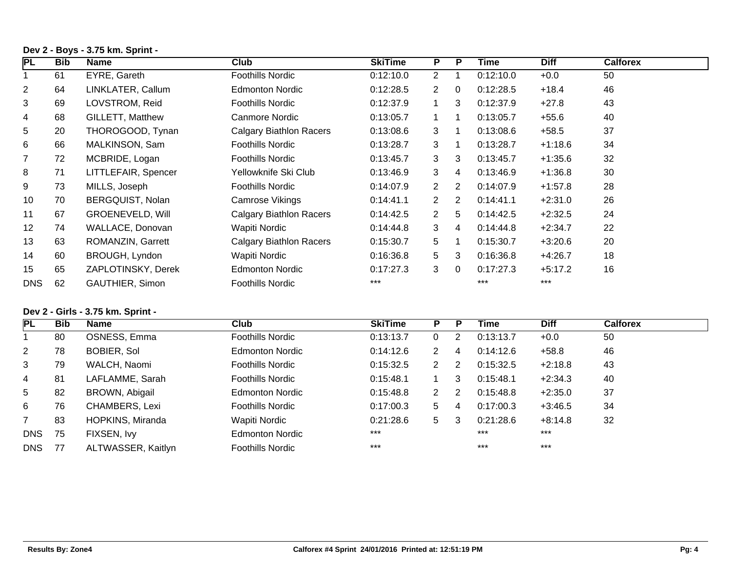## **Dev 2 - Boys - 3.75 km. Sprint -**

| PL             | <b>Bib</b> | <b>Name</b>             | <b>Club</b>                    | <b>SkiTime</b> | P              | P              | Time      | <b>Diff</b> | <b>Calforex</b> |
|----------------|------------|-------------------------|--------------------------------|----------------|----------------|----------------|-----------|-------------|-----------------|
|                | 61         | EYRE, Gareth            | <b>Foothills Nordic</b>        | 0:12:10.0      | $\mathbf{2}$   |                | 0:12:10.0 | $+0.0$      | 50              |
| $\overline{2}$ | 64         | LINKLATER, Callum       | <b>Edmonton Nordic</b>         | 0:12:28.5      | 2              | $\Omega$       | 0:12:28.5 | $+18.4$     | 46              |
| 3              | 69         | LOVSTROM, Reid          | Foothills Nordic               | 0:12:37.9      |                | 3              | 0:12:37.9 | $+27.8$     | 43              |
| 4              | 68         | <b>GILLETT, Matthew</b> | Canmore Nordic                 | 0:13:05.7      |                | 1              | 0:13:05.7 | $+55.6$     | 40              |
| 5              | 20         | THOROGOOD, Tynan        | <b>Calgary Biathlon Racers</b> | 0:13:08.6      | 3              | $\mathbf 1$    | 0:13:08.6 | $+58.5$     | 37              |
| 6              | 66         | MALKINSON, Sam          | Foothills Nordic               | 0:13:28.7      | 3              | 1              | 0:13:28.7 | $+1:18.6$   | 34              |
| $\overline{7}$ | 72         | MCBRIDE, Logan          | Foothills Nordic               | 0:13:45.7      | 3              | 3              | 0:13:45.7 | $+1:35.6$   | 32              |
| 8              | 71         | LITTLEFAIR, Spencer     | Yellowknife Ski Club           | 0:13:46.9      | 3              | 4              | 0:13:46.9 | $+1:36.8$   | 30              |
| 9              | 73         | MILLS, Joseph           | Foothills Nordic               | 0:14:07.9      | $\overline{2}$ | 2              | 0:14:07.9 | $+1:57.8$   | 28              |
| 10             | 70         | BERGQUIST, Nolan        | Camrose Vikings                | 0:14:41.1      | 2              | $\overline{2}$ | 0:14:41.1 | $+2:31.0$   | 26              |
| 11             | 67         | <b>GROENEVELD, Will</b> | <b>Calgary Biathlon Racers</b> | 0:14:42.5      | $\overline{2}$ | 5              | 0:14:42.5 | $+2:32.5$   | 24              |
| 12             | 74         | WALLACE, Donovan        | Wapiti Nordic                  | 0:14:44.8      | 3              | 4              | 0:14:44.8 | $+2:34.7$   | 22              |
| 13             | 63         | ROMANZIN, Garrett       | Calgary Biathlon Racers        | 0:15:30.7      | 5 <sup>5</sup> | 1              | 0:15:30.7 | $+3:20.6$   | 20              |
| 14             | 60         | BROUGH, Lyndon          | Wapiti Nordic                  | 0:16:36.8      | $5^{\circ}$    | 3              | 0:16:36.8 | $+4:26.7$   | 18              |
| 15             | 65         | ZAPLOTINSKY, Derek      | <b>Edmonton Nordic</b>         | 0:17:27.3      | 3              | $\mathbf 0$    | 0:17:27.3 | $+5:17.2$   | 16              |
| <b>DNS</b>     | 62         | <b>GAUTHIER, Simon</b>  | <b>Foothills Nordic</b>        | $***$          |                |                | $***$     | $***$       |                 |

## **Dev 2 - Girls - 3.75 km. Sprint -**

| PL             | <b>Bib</b> | <b>Name</b>        | <b>Club</b>             | <b>SkiTime</b> | P.                   |   | Time      | <b>Diff</b> | <b>Calforex</b> |
|----------------|------------|--------------------|-------------------------|----------------|----------------------|---|-----------|-------------|-----------------|
|                | 80         | OSNESS, Emma       | <b>Foothills Nordic</b> | 0:13:13.7      |                      | 2 | 0:13:13.7 | $+0.0$      | 50              |
| $\overline{2}$ | 78         | BOBIER, Sol        | <b>Edmonton Nordic</b>  | 0:14:12.6      | $\mathbf{2}^{\circ}$ | 4 | 0:14:12.6 | $+58.8$     | 46              |
| 3              | 79         | WALCH, Naomi       | <b>Foothills Nordic</b> | 0:15:32.5      | 2                    | 2 | 0:15:32.5 | $+2:18.8$   | 43              |
| $\overline{4}$ | 81         | LAFLAMME, Sarah    | <b>Foothills Nordic</b> | 0:15:48.1      |                      | 3 | 0:15:48.1 | $+2:34.3$   | 40              |
| 5              | 82         | BROWN, Abigail     | <b>Edmonton Nordic</b>  | 0:15:48.8      | 2                    | 2 | 0:15:48.8 | $+2:35.0$   | 37              |
| 6              | 76         | CHAMBERS, Lexi     | <b>Foothills Nordic</b> | 0:17:00.3      | 5                    | 4 | 0:17:00.3 | $+3:46.5$   | 34              |
| $7^{\circ}$    | 83         | HOPKINS, Miranda   | Wapiti Nordic           | 0:21:28.6      | 5                    | 3 | 0:21:28.6 | $+8:14.8$   | 32              |
| <b>DNS</b>     | 75         | FIXSEN, Ivy        | <b>Edmonton Nordic</b>  | $***$          |                      |   | $***$     | $***$       |                 |
| DNS.           | 77         | ALTWASSER, Kaitlyn | <b>Foothills Nordic</b> | $***$          |                      |   | $***$     | $***$       |                 |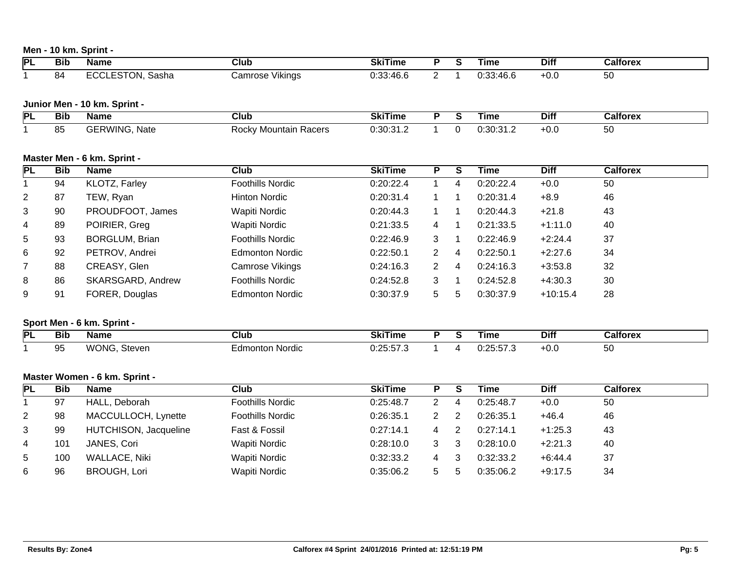## **Men - 10 km. Sprint -**

| PL             | <b>Bib</b> | <b>Name</b>                   | <b>Club</b>              | <b>SkiTime</b> | P                       | $\overline{\mathsf{s}}$     | <b>Time</b> | <b>Diff</b> | <b>Calforex</b> |
|----------------|------------|-------------------------------|--------------------------|----------------|-------------------------|-----------------------------|-------------|-------------|-----------------|
| $\mathbf{1}$   | 84         | <b>ECCLESTON, Sasha</b>       | <b>Camrose Vikings</b>   | 0:33:46.6      | $\overline{2}$          | 1                           | 0:33:46.6   | $+0.0$      | 50              |
|                |            |                               |                          |                |                         |                             |             |             |                 |
|                |            | Junior Men - 10 km. Sprint -  |                          |                |                         |                             |             |             |                 |
| PL             | <b>Bib</b> | <b>Name</b>                   | $\overline{\text{Club}}$ | <b>SkiTime</b> | $\overline{P}$          | $\overline{s}$              | <b>Time</b> | <b>Diff</b> | <b>Calforex</b> |
| $\mathbf 1$    | 85         | <b>GERWING, Nate</b>          | Rocky Mountain Racers    | 0:30:31.2      | $\mathbf{1}$            | $\mathbf 0$                 | 0:30:31.2   | $+0.0$      | 50              |
|                |            |                               |                          |                |                         |                             |             |             |                 |
|                |            | Master Men - 6 km. Sprint -   |                          |                |                         |                             |             |             |                 |
| PL             | <b>Bib</b> | <b>Name</b>                   | $\overline{\text{Club}}$ | <b>SkiTime</b> | $\overline{P}$          | $\overline{\mathsf{s}}$     | <b>Time</b> | <b>Diff</b> | <b>Calforex</b> |
| $\mathbf{1}$   | 94         | KLOTZ, Farley                 | <b>Foothills Nordic</b>  | 0:20:22.4      | $\mathbf{1}$            | 4                           | 0:20:22.4   | $+0.0$      | 50              |
| $\overline{2}$ | 87         | TEW, Ryan                     | <b>Hinton Nordic</b>     | 0:20:31.4      | $\mathbf{1}$            | 1                           | 0:20:31.4   | $+8.9$      | 46              |
| 3              | 90         | PROUDFOOT, James              | Wapiti Nordic            | 0:20:44.3      | $\mathbf 1$             | 1                           | 0:20:44.3   | $+21.8$     | 43              |
| 4              | 89         | POIRIER, Greg                 | <b>Wapiti Nordic</b>     | 0:21:33.5      | 4                       | 1                           | 0:21:33.5   | $+1:11.0$   | 40              |
| 5              | 93         | <b>BORGLUM, Brian</b>         | <b>Foothills Nordic</b>  | 0:22:46.9      | 3                       | 1                           | 0:22:46.9   | $+2:24.4$   | 37              |
| 6              | 92         | PETROV, Andrei                | <b>Edmonton Nordic</b>   | 0:22:50.1      | $\overline{2}$          | 4                           | 0:22:50.1   | $+2:27.6$   | 34              |
| $\overline{7}$ | 88         | CREASY, Glen                  | <b>Camrose Vikings</b>   | 0:24:16.3      | $\overline{2}$          | 4                           | 0:24:16.3   | $+3:53.8$   | 32              |
| 8              | 86         | SKARSGARD, Andrew             | <b>Foothills Nordic</b>  | 0:24:52.8      | 3                       | 1                           | 0:24:52.8   | $+4:30.3$   | 30              |
| 9              | 91         | FORER, Douglas                | <b>Edmonton Nordic</b>   | 0:30:37.9      | 5                       | 5                           | 0:30:37.9   | $+10:15.4$  | 28              |
|                |            | Sport Men - 6 km. Sprint -    |                          |                |                         |                             |             |             |                 |
| <b>PL</b>      | <b>Bib</b> | <b>Name</b>                   | $\overline{\text{Club}}$ | <b>SkiTime</b> | $\overline{P}$          | $\overline{\boldsymbol{s}}$ | <b>Time</b> | <b>Diff</b> | <b>Calforex</b> |
| 1              | 95         | WONG, Steven                  | <b>Edmonton Nordic</b>   | 0:25:57.3      | $\mathbf{1}$            | 4                           | 0:25:57.3   | $+0.0$      | 50              |
|                |            |                               |                          |                |                         |                             |             |             |                 |
|                |            | Master Women - 6 km. Sprint - |                          |                |                         |                             |             |             |                 |
| <b>PL</b>      | <b>Bib</b> | <b>Name</b>                   | $\overline{\text{Club}}$ | <b>SkiTime</b> | $\overline{\mathsf{P}}$ | $\overline{\boldsymbol{s}}$ | <b>Time</b> | <b>Diff</b> | <b>Calforex</b> |
| $\mathbf{1}$   | 97         | HALL, Deborah                 | <b>Foothills Nordic</b>  | 0:25:48.7      | $\overline{2}$          | 4                           | 0:25:48.7   | $+0.0$      | 50              |
| $\overline{2}$ | 98         | MACCULLOCH, Lynette           | <b>Foothills Nordic</b>  | 0:26:35.1      | $\overline{2}$          | $\overline{2}$              | 0:26:35.1   | $+46.4$     | 46              |
| 3              | 99         | HUTCHISON, Jacqueline         | Fast & Fossil            | 0:27:14.1      | 4                       | $\overline{c}$              | 0:27:14.1   | $+1:25.3$   | 43              |
| 4              | 101        | JANES, Cori                   | Wapiti Nordic            | 0:28:10.0      | 3                       | 3                           | 0:28:10.0   | $+2:21.3$   | 40              |
| 5              | 100        | <b>WALLACE, Niki</b>          | Wapiti Nordic            | 0:32:33.2      | 4                       | 3                           | 0:32:33.2   | $+6:44.4$   | 37              |
| 6              | 96         | <b>BROUGH, Lori</b>           | Wapiti Nordic            | 0:35:06.2      | 5                       | 5                           | 0:35:06.2   | $+9:17.5$   | 34              |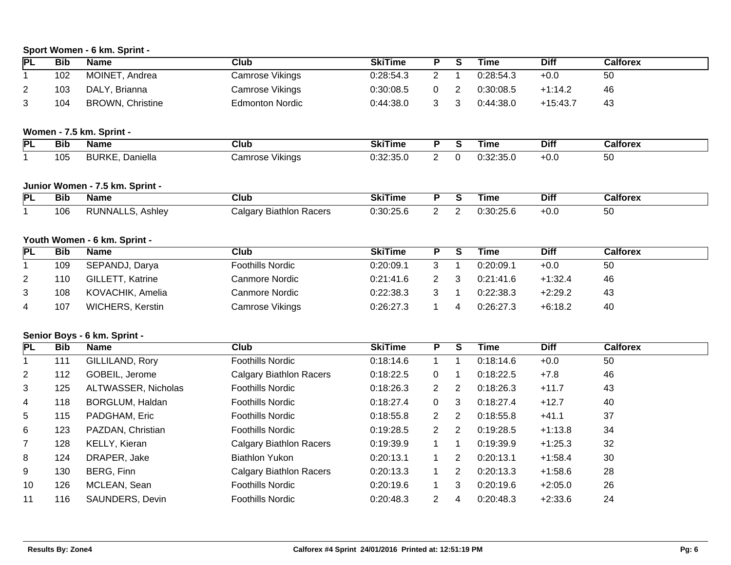# **Sport Women - 6 km. Sprint -**

| <b>Bib</b> | <b>Name</b>                                          | <b>Club</b>                                                                                                                                                                                                                                                                                      | <b>SkiTime</b>                                                                                                                                                                       | P                                                                               | $\overline{\mathsf{s}}$                                                                | <b>Time</b>                                                                                    | <b>Diff</b>                                                                               | <b>Calforex</b>                                                                                         |
|------------|------------------------------------------------------|--------------------------------------------------------------------------------------------------------------------------------------------------------------------------------------------------------------------------------------------------------------------------------------------------|--------------------------------------------------------------------------------------------------------------------------------------------------------------------------------------|---------------------------------------------------------------------------------|----------------------------------------------------------------------------------------|------------------------------------------------------------------------------------------------|-------------------------------------------------------------------------------------------|---------------------------------------------------------------------------------------------------------|
| 102        | MOINET, Andrea                                       | Camrose Vikings                                                                                                                                                                                                                                                                                  | 0:28:54.3                                                                                                                                                                            | $\overline{2}$                                                                  | 1                                                                                      | 0:28:54.3                                                                                      | $+0.0$                                                                                    | 50                                                                                                      |
| 103        | DALY, Brianna                                        | Camrose Vikings                                                                                                                                                                                                                                                                                  | 0:30:08.5                                                                                                                                                                            | $\mathbf 0$                                                                     | $\overline{2}$                                                                         | 0:30:08.5                                                                                      | $+1:14.2$                                                                                 | 46                                                                                                      |
| 104        | <b>BROWN, Christine</b>                              | <b>Edmonton Nordic</b>                                                                                                                                                                                                                                                                           | 0:44:38.0                                                                                                                                                                            | 3                                                                               | 3                                                                                      | 0:44:38.0                                                                                      | $+15:43.7$                                                                                | 43                                                                                                      |
|            |                                                      |                                                                                                                                                                                                                                                                                                  |                                                                                                                                                                                      |                                                                                 |                                                                                        |                                                                                                |                                                                                           |                                                                                                         |
| <b>Bib</b> | <b>Name</b>                                          | $\overline{\text{Club}}$                                                                                                                                                                                                                                                                         | <b>SkiTime</b>                                                                                                                                                                       | $\overline{P}$                                                                  | $\overline{s}$                                                                         | <b>Time</b>                                                                                    | <b>Diff</b>                                                                               | <b>Calforex</b>                                                                                         |
| 105        | <b>BURKE, Daniella</b>                               | Camrose Vikings                                                                                                                                                                                                                                                                                  | 0:32:35.0                                                                                                                                                                            | $\overline{2}$                                                                  | $\mathbf 0$                                                                            | 0:32:35.0                                                                                      | $+0.0$                                                                                    | 50                                                                                                      |
|            |                                                      |                                                                                                                                                                                                                                                                                                  |                                                                                                                                                                                      |                                                                                 |                                                                                        |                                                                                                |                                                                                           |                                                                                                         |
| <b>Bib</b> | <b>Name</b>                                          | $\overline{\text{Club}}$                                                                                                                                                                                                                                                                         | <b>SkiTime</b>                                                                                                                                                                       | $\overline{P}$                                                                  | $\overline{\boldsymbol{s}}$                                                            | <b>Time</b>                                                                                    | <b>Diff</b>                                                                               | <b>Calforex</b>                                                                                         |
| 106        | RUNNALLS, Ashley                                     | <b>Calgary Biathlon Racers</b>                                                                                                                                                                                                                                                                   | 0:30:25.6                                                                                                                                                                            | $\overline{2}$                                                                  | $\overline{c}$                                                                         | 0:30:25.6                                                                                      | $+0.0$                                                                                    | 50                                                                                                      |
|            |                                                      |                                                                                                                                                                                                                                                                                                  |                                                                                                                                                                                      |                                                                                 |                                                                                        |                                                                                                |                                                                                           |                                                                                                         |
| <b>Bib</b> | <b>Name</b>                                          | $\overline{\text{Club}}$                                                                                                                                                                                                                                                                         | <b>SkiTime</b>                                                                                                                                                                       | Ρ                                                                               | $\overline{s}$                                                                         | <b>Time</b>                                                                                    | <b>Diff</b>                                                                               | <b>Calforex</b>                                                                                         |
| 109        | SEPANDJ, Darya                                       | <b>Foothills Nordic</b>                                                                                                                                                                                                                                                                          | 0:20:09.1                                                                                                                                                                            | $\mathbf{3}$                                                                    | $\mathbf{1}$                                                                           | 0:20:09.1                                                                                      | $+0.0$                                                                                    | 50                                                                                                      |
| 110        | GILLETT, Katrine                                     | <b>Canmore Nordic</b>                                                                                                                                                                                                                                                                            | 0:21:41.6                                                                                                                                                                            | $\overline{2}$                                                                  | 3                                                                                      | 0:21:41.6                                                                                      | $+1:32.4$                                                                                 | 46                                                                                                      |
| 108        | KOVACHIK, Amelia                                     | <b>Canmore Nordic</b>                                                                                                                                                                                                                                                                            | 0:22:38.3                                                                                                                                                                            | 3                                                                               | $\mathbf{1}$                                                                           | 0:22:38.3                                                                                      | $+2:29.2$                                                                                 | 43                                                                                                      |
| 107        | WICHERS, Kerstin                                     | Camrose Vikings                                                                                                                                                                                                                                                                                  | 0:26:27.3                                                                                                                                                                            | 1                                                                               | 4                                                                                      | 0:26:27.3                                                                                      | $+6:18.2$                                                                                 | 40                                                                                                      |
|            |                                                      |                                                                                                                                                                                                                                                                                                  |                                                                                                                                                                                      |                                                                                 |                                                                                        |                                                                                                |                                                                                           |                                                                                                         |
|            |                                                      |                                                                                                                                                                                                                                                                                                  |                                                                                                                                                                                      |                                                                                 |                                                                                        |                                                                                                |                                                                                           | <b>Calforex</b>                                                                                         |
|            |                                                      |                                                                                                                                                                                                                                                                                                  |                                                                                                                                                                                      |                                                                                 |                                                                                        |                                                                                                |                                                                                           | 50                                                                                                      |
|            |                                                      |                                                                                                                                                                                                                                                                                                  |                                                                                                                                                                                      |                                                                                 |                                                                                        |                                                                                                |                                                                                           | 46                                                                                                      |
|            |                                                      |                                                                                                                                                                                                                                                                                                  |                                                                                                                                                                                      |                                                                                 |                                                                                        |                                                                                                |                                                                                           | 43                                                                                                      |
|            |                                                      | <b>Foothills Nordic</b>                                                                                                                                                                                                                                                                          |                                                                                                                                                                                      |                                                                                 |                                                                                        |                                                                                                |                                                                                           | 40                                                                                                      |
|            |                                                      | <b>Foothills Nordic</b>                                                                                                                                                                                                                                                                          | 0:18:55.8                                                                                                                                                                            |                                                                                 |                                                                                        |                                                                                                |                                                                                           | 37                                                                                                      |
| 123        |                                                      | <b>Foothills Nordic</b>                                                                                                                                                                                                                                                                          | 0:19:28.5                                                                                                                                                                            | $\overline{2}$                                                                  |                                                                                        | 0:19:28.5                                                                                      |                                                                                           | 34                                                                                                      |
|            |                                                      |                                                                                                                                                                                                                                                                                                  |                                                                                                                                                                                      | $\mathbf{1}$                                                                    | 1                                                                                      |                                                                                                |                                                                                           | 32                                                                                                      |
| 124        |                                                      | <b>Biathlon Yukon</b>                                                                                                                                                                                                                                                                            | 0:20:13.1                                                                                                                                                                            | $\mathbf{1}$                                                                    | $\overline{c}$                                                                         | 0:20:13.1                                                                                      |                                                                                           | 30                                                                                                      |
| 130        | BERG, Finn                                           |                                                                                                                                                                                                                                                                                                  | 0:20:13.3                                                                                                                                                                            | $\mathbf{1}$                                                                    | 2                                                                                      | 0:20:13.3                                                                                      | $+1:58.6$                                                                                 | 28                                                                                                      |
| 126        | MCLEAN, Sean                                         | <b>Foothills Nordic</b>                                                                                                                                                                                                                                                                          | 0:20:19.6                                                                                                                                                                            | 1                                                                               | 3                                                                                      | 0:20:19.6                                                                                      | $+2:05.0$                                                                                 | 26                                                                                                      |
| 116        | SAUNDERS, Devin                                      | <b>Foothills Nordic</b>                                                                                                                                                                                                                                                                          | 0:20:48.3                                                                                                                                                                            | $\overline{2}$                                                                  | 4                                                                                      | 0:20:48.3                                                                                      | $+2:33.6$                                                                                 | 24                                                                                                      |
|            | <b>Bib</b><br>111<br>112<br>125<br>118<br>115<br>128 | Women - 7.5 km. Sprint -<br>Junior Women - 7.5 km. Sprint -<br>Youth Women - 6 km. Sprint -<br>Senior Boys - 6 km. Sprint -<br><b>Name</b><br>GILLILAND, Rory<br>GOBEIL, Jerome<br>ALTWASSER, Nicholas<br>BORGLUM, Haldan<br>PADGHAM, Eric<br>PAZDAN, Christian<br>KELLY, Kieran<br>DRAPER, Jake | $\overline{\text{Club}}$<br><b>Foothills Nordic</b><br><b>Calgary Biathlon Racers</b><br><b>Foothills Nordic</b><br><b>Calgary Biathlon Racers</b><br><b>Calgary Biathlon Racers</b> | <b>SkiTime</b><br>0:18:14.6<br>0:18:22.5<br>0:18:26.3<br>0:18:27.4<br>0:19:39.9 | $\overline{P}$<br>$\mathbf{1}$<br>0<br>$\overline{c}$<br>$\mathsf 0$<br>$\overline{2}$ | $\overline{s}$<br>1<br>$\mathbf{1}$<br>$\overline{2}$<br>3<br>$\overline{c}$<br>$\overline{2}$ | <b>Time</b><br>0:18:14.6<br>0:18:22.5<br>0:18:26.3<br>0:18:27.4<br>0:18:55.8<br>0:19:39.9 | <b>Diff</b><br>$+0.0$<br>$+7.8$<br>$+11.7$<br>$+12.7$<br>$+41.1$<br>$+1:13.8$<br>$+1:25.3$<br>$+1:58.4$ |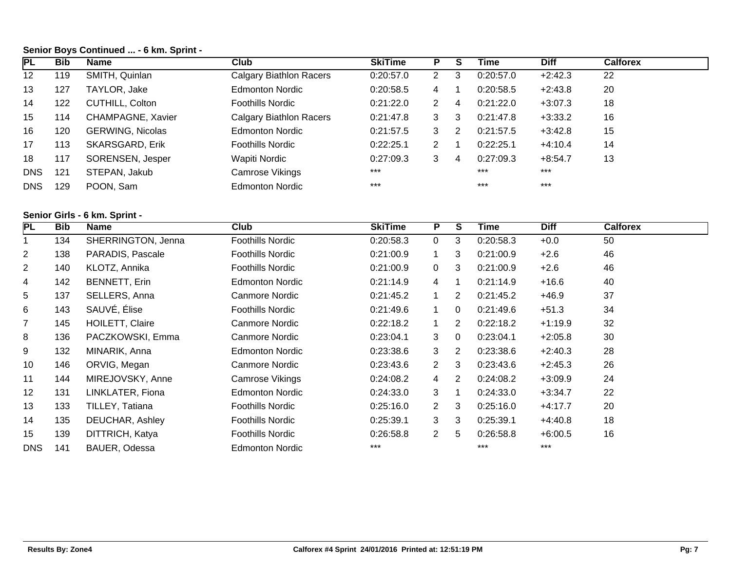## **Senior Boys Continued ... - 6 km. Sprint -**

| <b>PL</b>       | <b>Bib</b> | <b>Name</b>             | Club                    | <b>SkiTime</b> |              |   | Time      | <b>Diff</b> | <b>Calforex</b> |
|-----------------|------------|-------------------------|-------------------------|----------------|--------------|---|-----------|-------------|-----------------|
| 12 <sup>°</sup> | 119        | SMITH, Quinlan          | Calgary Biathlon Racers | 0:20:57.0      | $\mathbf{2}$ | 3 | 0:20:57.0 | $+2:42.3$   | 22              |
| 13              | 127        | TAYLOR, Jake            | <b>Edmonton Nordic</b>  | 0:20:58.5      | 4            |   | 0:20:58.5 | $+2:43.8$   | 20              |
| 14              | 122        | CUTHILL, Colton         | <b>Foothills Nordic</b> | 0:21:22.0      | 2            | 4 | 0:21:22.0 | $+3:07.3$   | 18              |
| 15              | 114        | CHAMPAGNE, Xavier       | Calgary Biathlon Racers | 0:21:47.8      | 3            | 3 | 0:21:47.8 | $+3:33.2$   | 16              |
| 16              | 120        | <b>GERWING, Nicolas</b> | <b>Edmonton Nordic</b>  | 0:21:57.5      | 3            | 2 | 0:21:57.5 | $+3:42.8$   | 15              |
| 17              | 113        | SKARSGARD, Erik         | <b>Foothills Nordic</b> | 0:22:25.1      | 2            |   | 0:22:25.1 | $+4:10.4$   | 14              |
| 18              | 117        | SORENSEN, Jesper        | Wapiti Nordic           | 0:27:09.3      | 3            | 4 | 0:27:09.3 | $+8:54.7$   | 13              |
| <b>DNS</b>      | 121        | STEPAN, Jakub           | Camrose Vikings         | $***$          |              |   | $***$     | $***$       |                 |
| <b>DNS</b>      | 129        | POON, Sam               | <b>Edmonton Nordic</b>  | $***$          |              |   | $***$     | $***$       |                 |

## **Senior Girls - 6 km. Sprint -**

| PL             | <b>Bib</b> | <b>Name</b>            | <b>Club</b>             | <b>SkiTime</b> | P.             | S              | Time      | <b>Diff</b> | <b>Calforex</b> |  |
|----------------|------------|------------------------|-------------------------|----------------|----------------|----------------|-----------|-------------|-----------------|--|
|                | 134        | SHERRINGTON, Jenna     | <b>Foothills Nordic</b> | 0:20:58.3      | $\mathbf 0$    | 3              | 0:20:58.3 | $+0.0$      | 50              |  |
| $\overline{c}$ | 138        | PARADIS, Pascale       | <b>Foothills Nordic</b> | 0:21:00.9      | $\mathbf 1$    | 3              | 0:21:00.9 | $+2.6$      | 46              |  |
| $\overline{2}$ | 140        | KLOTZ, Annika          | <b>Foothills Nordic</b> | 0:21:00.9      | $\overline{0}$ | 3              | 0:21:00.9 | $+2.6$      | 46              |  |
| 4              | 142        | <b>BENNETT, Erin</b>   | <b>Edmonton Nordic</b>  | 0:21:14.9      | $\overline{4}$ | 1              | 0:21:14.9 | $+16.6$     | 40              |  |
| 5              | 137        | SELLERS, Anna          | Canmore Nordic          | 0:21:45.2      |                | $\overline{2}$ | 0:21:45.2 | $+46.9$     | 37              |  |
| 6              | 143        | SAUVÉ, Élise           | <b>Foothills Nordic</b> | 0:21:49.6      | $\mathbf 1$    | $\mathbf 0$    | 0:21:49.6 | $+51.3$     | 34              |  |
| $\overline{7}$ | 145        | <b>HOILETT, Claire</b> | Canmore Nordic          | 0:22:18.2      |                | $\overline{2}$ | 0:22:18.2 | $+1:19.9$   | 32              |  |
| 8              | 136        | PACZKOWSKI, Emma       | Canmore Nordic          | 0:23:04.1      | 3              | $\Omega$       | 0:23:04.1 | $+2:05.8$   | 30              |  |
| 9              | 132        | MINARIK, Anna          | <b>Edmonton Nordic</b>  | 0:23:38.6      | 3              | $\overline{2}$ | 0:23:38.6 | $+2:40.3$   | 28              |  |
| 10             | 146        | ORVIG, Megan           | Canmore Nordic          | 0:23:43.6      | 2              | 3              | 0:23:43.6 | $+2:45.3$   | 26              |  |
| 11             | 144        | MIREJOVSKY, Anne       | Camrose Vikings         | 0:24:08.2      | 4              | 2              | 0:24:08.2 | $+3:09.9$   | 24              |  |
| 12             | 131        | LINKLATER, Fiona       | <b>Edmonton Nordic</b>  | 0:24:33.0      | 3              | $\mathbf 1$    | 0:24:33.0 | $+3:34.7$   | 22              |  |
| 13             | 133        | TILLEY, Tatiana        | <b>Foothills Nordic</b> | 0:25:16.0      | $\overline{2}$ | 3              | 0:25:16.0 | $+4:17.7$   | 20              |  |
| 14             | 135        | DEUCHAR, Ashley        | <b>Foothills Nordic</b> | 0:25:39.1      | 3              | 3              | 0:25:39.1 | $+4:40.8$   | 18              |  |
| 15             | 139        | DITTRICH, Katya        | <b>Foothills Nordic</b> | 0:26:58.8      | $\mathbf{2}$   | 5              | 0:26:58.8 | $+6:00.5$   | 16              |  |
| <b>DNS</b>     | 141        | BAUER, Odessa          | <b>Edmonton Nordic</b>  | $***$          |                |                | $***$     | $***$       |                 |  |